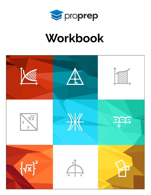

# Workbook

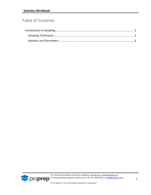### Table of Contents



For more information and all the solutions, please go to [www.proprep.uk.](http://www.proprep.uk/) **Solution any questions please contact us at +44-161-850-4375 or [info@proprep.com.](mailto:info@proprep.com)**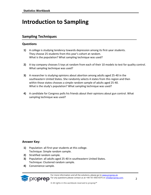## <span id="page-2-0"></span>**Introduction to Sampling**

#### <span id="page-2-1"></span>**Sampling Techniques**

#### **Questions**

- **1)** A college is studying tendency towards depression among its first-year students. They choose 25 students from this year's cohort at random. What is the population? What sampling technique was used?
- **2)** A toy company chooses 5 toys at random from each of their 10 models to test for quality control. What sampling technique was used?
- **3)** A researcher is studying opinions about abortion among adults aged 25-40 in the southeastern United States. She randomly selects 4 states from this region and then within those states chooses a simple random sample of adults aged 25-40. What is the study's population? What sampling technique was used?
- **4)** A candidate for Congress polls his friends about their opinions about gun control. What sampling technique was used?

#### **Answer Key:**

- **1)** Population: all first-year students at this college. Technique: Simple random sample.
- **2)** Stratified random sample.
- **3)** Population: all adults aged 25-40 in southeastern United States. Technique: Clustered random sample.
- **4)** Convenience sample.

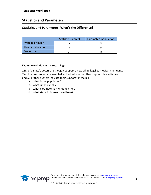#### <span id="page-3-0"></span>**Statistics and Parameters**

#### **Statistics and Parameters: What's the Difference?**

|                    | Statistic (sample)       | Parameter (population) |
|--------------------|--------------------------|------------------------|
| Average or mean    |                          |                        |
| Standard deviation |                          |                        |
| Proportion         | $\overline{\phantom{0}}$ |                        |

**Example** (solution in the recording)**:**

25% of a state's voters are thought support a new bill to legalize medical marijuana. Two hundred voters are sampled and asked whether they support this initiative, and 56 of those voters indicate their support for the bill.

- a. What is the population?
- b. What is the variable?
- c. What parameter is mentioned here?
- d. What statistic is mentioned here?

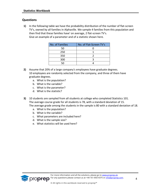#### **Questions**

**1)** In the following table we have the probability distribution of the number of flat-screen TV's, owned by all families in Alphaville. We sample 4 families from this population and then find that these families have' on average, 2 flat-screen TV's. Give an example of a parameter and of a statistic shown here.

| No. of Families | No. of Flat-Screen TV's |
|-----------------|-------------------------|
| 50              |                         |
| 250             |                         |
| 350             |                         |
| 300             |                         |
|                 |                         |

- **2)** Assume that 20% of a large company's employees have graduate degrees. 10 employees are randomly selected from the company, and three of them have graduate degrees.
	- a. What is the population?
	- b. What is the variable?
	- c. What is the parameter?
	- d. What is the statistic?
- **3)** 10 students are sampled from all students at college who completed Statistics 101. The average course grade for all students is 78, with a standard deviation of 15. The average grade among the students in the sample is 80 with a standard deviation of 18.
	- a. What is the population?
	- b. What is the variable?
	- c. What parameters are included here?
	- d. What is the sample size?
	- e. What statistics will be used here?